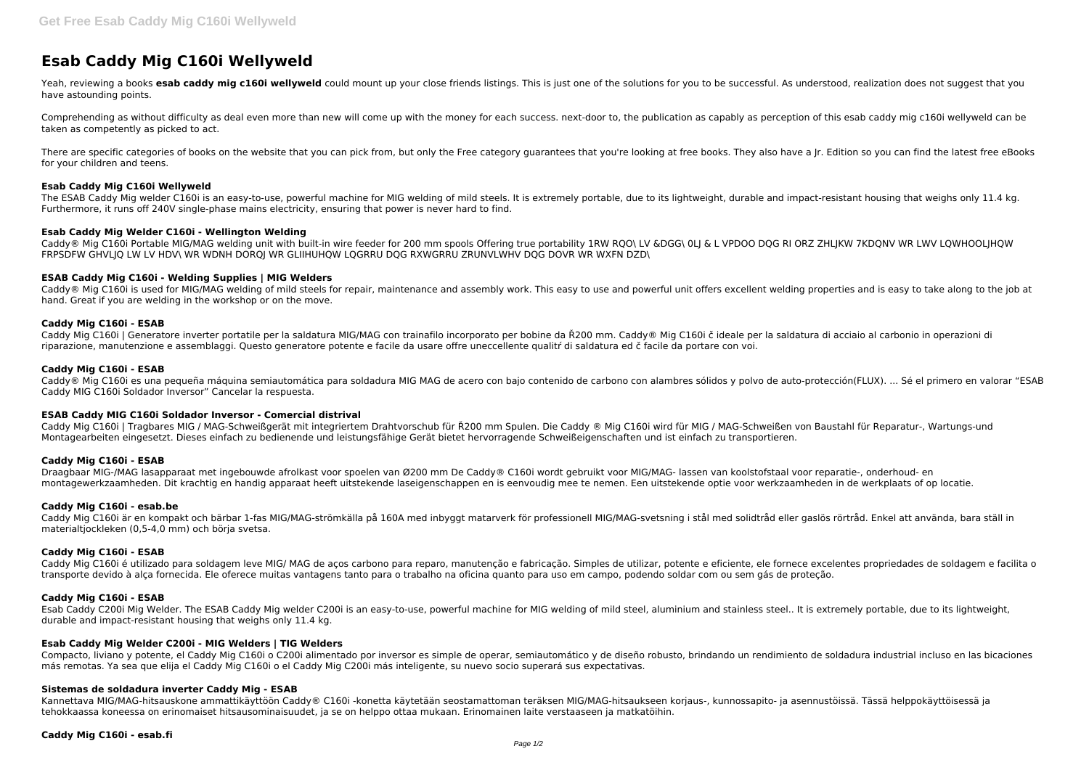# **Esab Caddy Mig C160i Wellyweld**

Yeah, reviewing a books esab caddy mig c160i wellyweld could mount up your close friends listings. This is just one of the solutions for you to be successful. As understood, realization does not suggest that you have astounding points.

There are specific categories of books on the website that you can pick from, but only the Free category guarantees that you're looking at free books. They also have a Jr. Edition so you can find the latest free eBooks for your children and teens.

Comprehending as without difficulty as deal even more than new will come up with the money for each success. next-door to, the publication as capably as perception of this esab caddy mig c160i wellyweld can be taken as competently as picked to act.

The ESAB Caddy Mig welder C160i is an easy-to-use, powerful machine for MIG welding of mild steels. It is extremely portable, due to its lightweight, durable and impact-resistant housing that weighs only 11.4 kg. Furthermore, it runs off 240V single-phase mains electricity, ensuring that power is never hard to find.

Caddy® Mig C160i Portable MIG/MAG welding unit with built-in wire feeder for 200 mm spools Offering true portability 1RW RQO\ LV &DGG\ 0LJ & L VPDOO DQG RI ORZ ZHLJKW 7KDQNV WR LWV LQWHOOLJHQW FRPSDFW GHVLJQ LW LV HDV\ WR WDNH DORQJ WR GLIIHUHQW LQGRRU DQG RXWGRRU ZRUNVLWHV DQG DOVR WR WXFN DZD\

## **Esab Caddy Mig C160i Wellyweld**

Caddy® Mig C160i is used for MIG/MAG welding of mild steels for repair, maintenance and assembly work. This easy to use and powerful unit offers excellent welding properties and is easy to take along to the job at hand. Great if you are welding in the workshop or on the move.

## **Esab Caddy Mig Welder C160i - Wellington Welding**

Caddy® Mig C160i es una pequeña máquina semiautomática para soldadura MIG MAG de acero con bajo contenido de carbono con alambres sólidos y polvo de auto-protección(FLUX). ... Sé el primero en valorar "ESAB Caddy MIG C160i Soldador Inversor" Cancelar la respuesta.

## **ESAB Caddy Mig C160i - Welding Supplies | MIG Welders**

## **Caddy Mig C160i - ESAB**

Caddy Mig C160i é utilizado para soldagem leve MIG/ MAG de aços carbono para reparo, manutenção e fabricação. Simples de utilizar, potente e eficiente, ele fornece excelentes propriedades de soldagem e facilita o transporte devido à alça fornecida. Ele oferece muitas vantagens tanto para o trabalho na oficina quanto para uso em campo, podendo soldar com ou sem gás de proteção.

Caddy Mig C160i | Generatore inverter portatile per la saldatura MIG/MAG con trainafilo incorporato per bobine da Ř200 mm. Caddy® Mig C160i č ideale per la saldatura di acciaio al carbonio in operazioni di riparazione, manutenzione e assemblaggi. Questo generatore potente e facile da usare offre uneccellente qualitŕ di saldatura ed č facile da portare con voi.

## **Caddy Mig C160i - ESAB**

#### **ESAB Caddy MIG C160i Soldador Inversor - Comercial distrival**

Caddy Mig C160i | Tragbares MIG / MAG-Schweißgerät mit integriertem Drahtvorschub für Ř200 mm Spulen. Die Caddy ® Mig C160i wird für MIG / MAG-Schweißen von Baustahl für Reparatur-, Wartungs-und Montagearbeiten eingesetzt. Dieses einfach zu bedienende und leistungsfähige Gerät bietet hervorragende Schweißeigenschaften und ist einfach zu transportieren.

#### **Caddy Mig C160i - ESAB**

Draagbaar MIG-/MAG lasapparaat met ingebouwde afrolkast voor spoelen van Ø200 mm De Caddy® C160i wordt gebruikt voor MIG/MAG- lassen van koolstofstaal voor reparatie-, onderhoud- en montagewerkzaamheden. Dit krachtig en handig apparaat heeft uitstekende laseigenschappen en is eenvoudig mee te nemen. Een uitstekende optie voor werkzaamheden in de werkplaats of op locatie.

# **Caddy Mig C160i - esab.be**

Caddy Mig C160i är en kompakt och bärbar 1-fas MIG/MAG-strömkälla på 160A med inbyggt matarverk för professionell MIG/MAG-svetsning i stål med solidtråd eller gaslös rörtråd. Enkel att använda, bara ställ in materialtjockleken (0,5-4,0 mm) och börja svetsa.

#### **Caddy Mig C160i - ESAB**

#### **Caddy Mig C160i - ESAB**

Esab Caddy C200i Mig Welder. The ESAB Caddy Mig welder C200i is an easy-to-use, powerful machine for MIG welding of mild steel, aluminium and stainless steel.. It is extremely portable, due to its lightweight, durable and impact-resistant housing that weighs only 11.4 kg.

#### **Esab Caddy Mig Welder C200i - MIG Welders | TIG Welders**

Compacto, liviano y potente, el Caddy Mig C160i o C200i alimentado por inversor es simple de operar, semiautomático y de diseño robusto, brindando un rendimiento de soldadura industrial incluso en las bicaciones más remotas. Ya sea que elija el Caddy Mig C160i o el Caddy Mig C200i más inteligente, su nuevo socio superará sus expectativas.

#### **Sistemas de soldadura inverter Caddy Mig - ESAB**

Kannettava MIG/MAG-hitsauskone ammattikäyttöön Caddy® C160i -konetta käytetään seostamattoman teräksen MIG/MAG-hitsaukseen korjaus-, kunnossapito- ja asennustöissä. Tässä helppokäyttöisessä ja tehokkaassa koneessa on erinomaiset hitsausominaisuudet, ja se on helppo ottaa mukaan. Erinomainen laite verstaaseen ja matkatöihin.

#### **Caddy Mig C160i - esab.fi**